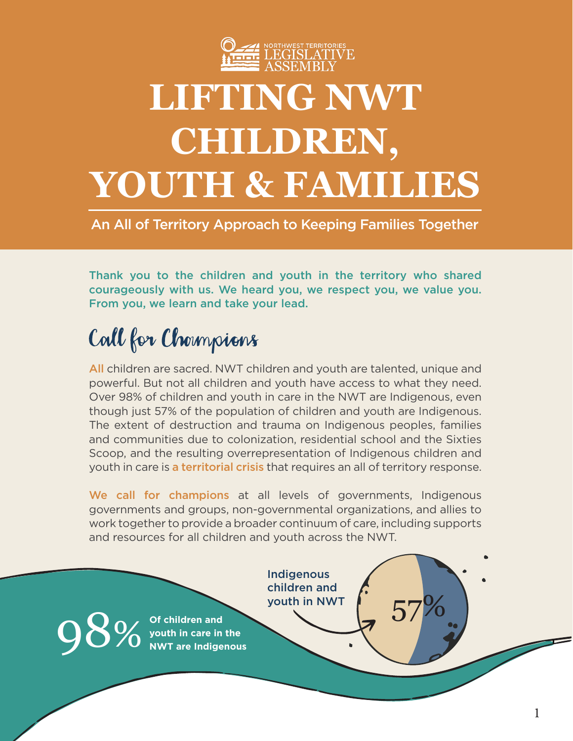

## **LIFTING NWT CHILDREN, YOUTH & FAMILIES**

An All of Territory Approach to Keeping Families Together

Thank you to the children and youth in the territory who shared courageously with us. We heard you, we respect you, we value you. From you, we learn and take your lead.

## Call for Champions

All children are sacred. NWT children and youth are talented, unique and powerful. But not all children and youth have access to what they need. Over 98% of children and youth in care in the NWT are Indigenous, even though just 57% of the population of children and youth are Indigenous. The extent of destruction and trauma on Indigenous peoples, families and communities due to colonization, residential school and the Sixties Scoop, and the resulting overrepresentation of Indigenous children and youth in care is a territorial crisis that requires an all of territory response.

We call for champions at all levels of governments, Indigenous governments and groups, non-governmental organizations, and allies to work together to provide a broader continuum of care, including supports and resources for all children and youth across the NWT.

> Indigenous children and youth in NWT

youth in NWT<br>98% of children and<br>NWT are in the ST 2000 NWT are indigenous **Of children and youth in care in the NWT are Indigenous**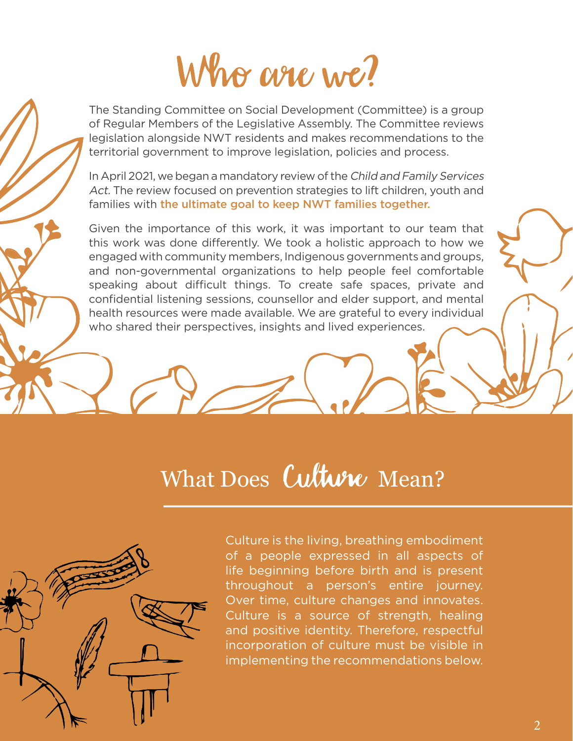Who are we?

The Standing Committee on Social Development (Committee) is a group of Regular Members of the Legislative Assembly. The Committee reviews legislation alongside NWT residents and makes recommendations to the territorial government to improve legislation, policies and process.

In April 2021, we began a mandatory review of the Child and Family Services Act. The review focused on prevention strategies to lift children, youth and families with the ultimate goal to keep NWT families together.

Given the importance of this work, it was important to our team that this work was done differently. We took a holistic approach to how we engaged with community members, Indigenous governments and groups, and non-governmental organizations to help people feel comfortable speaking about difficult things. To create safe spaces, private and confidential listening sessions, counsellor and elder support, and mental health resources were made available. We are grateful to every individual who shared their perspectives, insights and lived experiences.

## What Does Culture Mean?

Culture is the living, breathing embodiment of a people expressed in all aspects of life beginning before birth and is present throughout a person's entire journey. Over time, culture changes and innovates. Culture is a source of strength, healing and positive identity. Therefore, respectful incorporation of culture must be visible in implementing the recommendations below.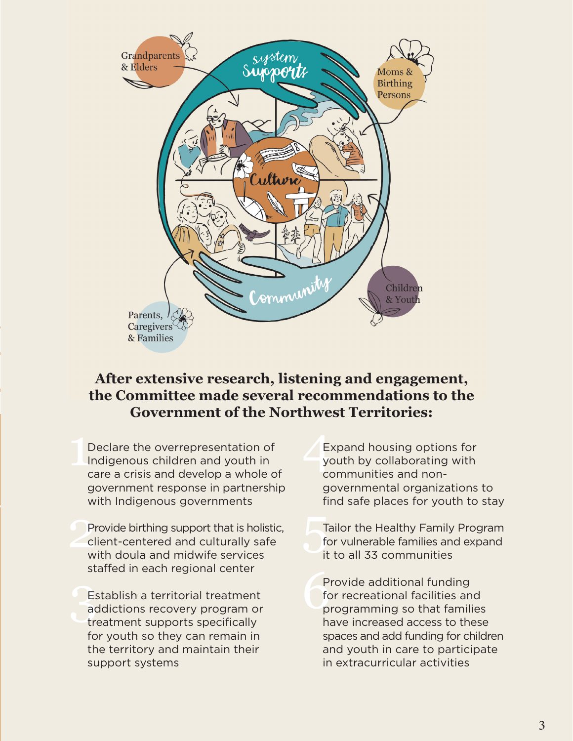

## **After extensive research, listening and engagement, the Committee made several recommendations to the Government of the Northwest Territories:**

 $\begin{bmatrix} 1 \\ 1 \\ 0 \end{bmatrix}$ Declare the overrepresentation of Indigenous children and youth in care a crisis and develop a whole of government response in partnership with Indigenous governments

Provide birthing support that is holistic,<br>
Client-centered and culturally safe<br>
with doula and midwife services Provide birthing support that is holistic, client-centered and culturally safe with doula and midwife services staffed in each regional center

 $\frac{E_3}{2}$ Establish a territorial treatment addictions recovery program or treatment supports specifically for youth so they can remain in the territory and maintain their support systems

 $\frac{E}{y}$ Expand housing options for youth by collaborating with communities and nongovernmental organizations to find safe places for youth to stay

Tailor the Healthy Family Program for vulnerable families and expand it to all 33 communities

 $\begin{array}{c}\nP \\
\uparrow \text{fc} \\
p\n\end{array}$ Provide additional funding for recreational facilities and programming so that families have increased access to these spaces and add funding for children and youth in care to participate in extracurricular activities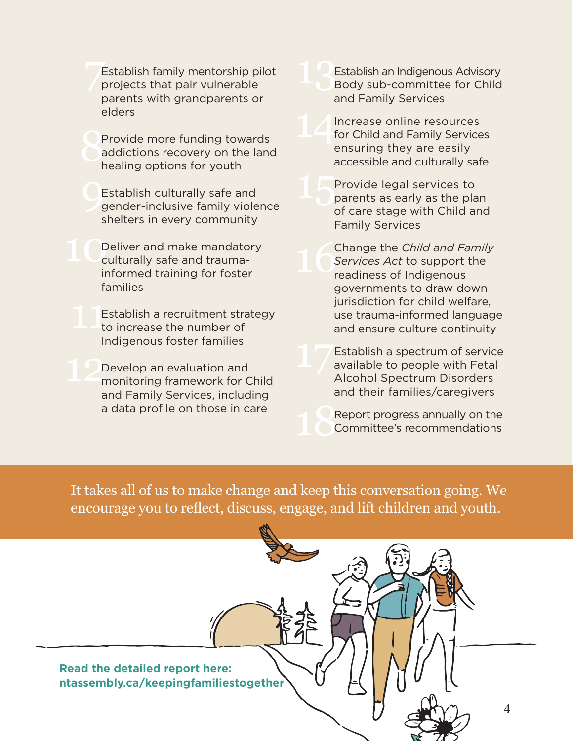Establish family mentorship pilot<br>projects that pair vulnerable<br>parents with grandparents or  $\frac{1}{2}$ Establish family mentorship pilot projects that pair vulnerable parents with grandparents or elders

**SF** Provide more funding towards addictions recovery on the land healing options for youth

 $\bigcup_{\zeta}$ Establish culturally safe and gender-inclusive family violence shelters in every community

10 Deliver and make mandatory culturally safe and traumainformed training for foster families

 $11<sub>t</sub>$ Establish a recruitment strategy to increase the number of Indigenous foster families

12 Develop an evaluation and monitoring framework for Child and Family Services, including a data profile on those in care

Establish an Indigenous Advisory Body sub-committee for Child and Family Services

14 Increase online resources for Child and Family Services ensuring they are easily accessible and culturally safe

15 Provide legal services to parents as early as the plan of care stage with Child and Family Services

16 Change the *Child and Family Services Act* to support the readiness of Indigenous governments to draw down jurisdiction for child welfare, use trauma-informed language and ensure culture continuity

Establish a spectrum of service available to people with Fetal Alcohol Spectrum Disorders and their families/caregivers

18<sup>F</sup> Report progress annually on the Committee's recommendations

It takes all of us to make change and keep this conversation going. We encourage you to reflect, discuss, engage, and lift children and youth.